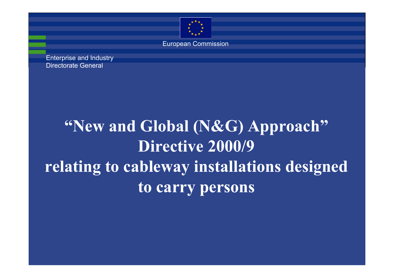

European Commission

Enterprise and Industry Directorate General

# **"New and Global (N&G) Approach"** Directive 2000/9 **relating to cableway installations designed to carry persons**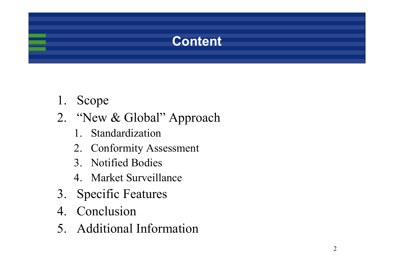# **Content**

- 1. Scope
- 2. "New & Global" Approach
	- 1. Standardization
	- 2. Conformity Assessment
	- 3. Notified Bodies
	- 4. Market Surveillance
- 3. Specific Features
- 4. Conclusion
- 5. Additional Information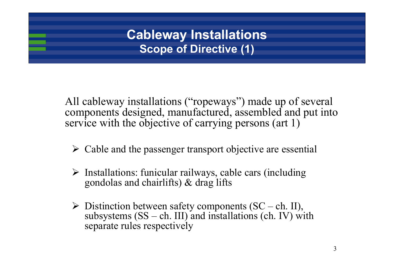## **Cableway Installations Scope of Directive (1)**

All cableway installations ("ropeways") made up of several components designed, manufactured, assembled and put into service with the objective of carrying persons (art 1)

- $\triangleright$  Cable and the passenger transport objective are essential
- ¾ Installations: funicular railways, cable cars (including gondolas and chairlifts) & drag lifts
- $\triangleright$  Distinction between safety components (SC ch. II), subsystems  $(SS - ch. III)$  and installations (ch. IV) with separate rules respectively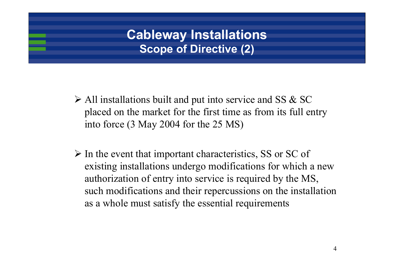## **Cableway Installations Scope of Directive (2)**

- $\triangleright$  All installations built and put into service and SS & SC placed on the market for the first time as from its full entry into force (3 May 2004 for the 25 MS)
- $\triangleright$  In the event that important characteristics, SS or SC of existing installations undergo modifications for which a new authorization of entry into service is required by the MS, such modifications and their repercussions on the installation as a whole must satisfy the essential requirements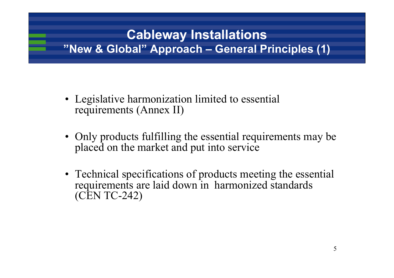# **Cableway Installations "New & Global" Approach – General Principles (1)**

- Legislative harmonization limited to essential requirements (Annex II)
- Only products fulfilling the essential requirements may be placed on the market and put into service
- Technical specifications of products meeting the essential requirements are laid down in harmonized standards (CEN TC-242)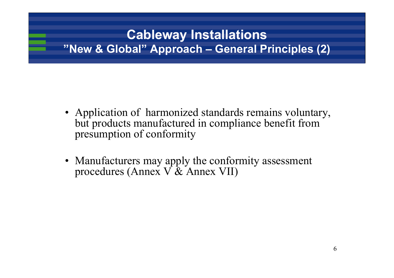# **Cableway Installations "New & Global" Approach – General Principles (2)**

- Application of harmonized standards remains voluntary, but products manufactured in compliance benefit from presumption of conformity
- Manufacturers may apply the conformity assessment procedures (Annex  $\overline{V}$  & Annex VII)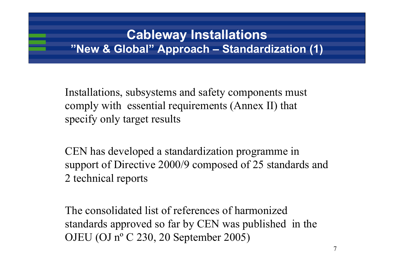#### **Cableway Installations "New & Global" Approach – Standardization (1)**

Installations, subsystems and safety components must comply with essential requirements (Annex II) that specify only target results

CEN has developed a standardization programme in support of Directive 2000/9 composed of 25 standards and 2 technical reports

The consolidated list of references of harmonized standards approved so far by CEN was published in the OJEU (OJ nº C 230, 20 September 2005)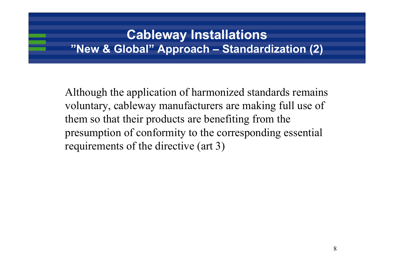#### **Cableway Installations "New & Global" Approach – Standardization (2)**

Although the application of harmonized standards remains voluntary, cableway manufacturers are making full use of them so that their products are benefiting from the presumption of conformity to the corresponding essential requirements of the directive (art 3)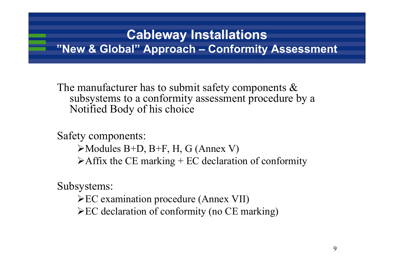#### **Cableway Installations "New & Global" Approach – Conformity Assessment**

The manufacturer has to submit safety components & subsystems to a conformity assessment procedure by a Notified Body of his choice

Safety components:

 $\blacktriangleright$  Modules B+D, B+F, H, G (Annex V)

 $\triangleright$  Affix the CE marking + EC declaration of conformity

Subsystems:

¾EC examination procedure (Annex VII)

 $\triangle$ EC declaration of conformity (no CE marking)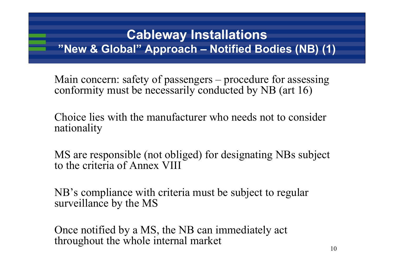#### **Cableway Installations "New & Global" Approach – Notified Bodies (NB) (1)**

Main concern: safety of passengers – procedure for assessing conformity must be necessarily conducted by NB (art 16)

Choice lies with the manufacturer who needs not to consider nationality

MS are responsible (not obliged) for designating NBs subject to the criteria of Annex VIII

NB's compliance with criteria must be subject to regular surveillance by the MS

Once notified by a MS, the NB can immediately act throughout the whole internal market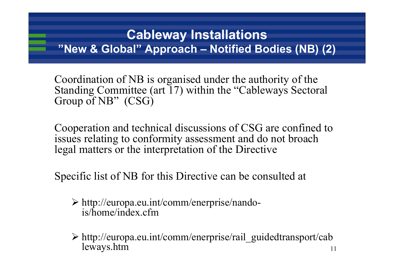#### **Cableway Installations "New & Global" Approach – Notified Bodies (NB) (2)**

Coordination of NB is organised under the authority of the Standing Committee (art 17) within the "Cableways Sectoral Group of NB" (CSG)

Cooperation and technical discussions of CSG are confined to issues relating to conformity assessment and do not broach legal matters or the interpretation of the Directive

Specific list of NB for this Directive can be consulted at

- ¾ http://europa.eu.int/comm/enerprise/nandois/home/index.cfm
- 11¾ http://europa.eu.int/comm/enerprise/rail\_guidedtransport/cab leways.htm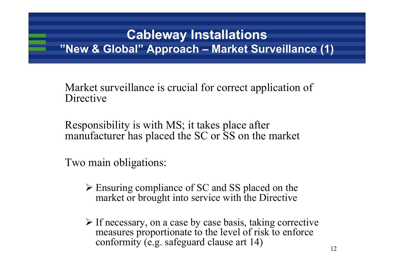#### **Cableway Installations "New & Global" Approach – Market Surveillance (1)**

Market surveillance is crucial for correct application of Directive

Responsibility is with MS; it takes place after manufacturer has placed the SC or SS on the market

Two main obligations:

- ¾ Ensuring compliance of SC and SS placed on the market or brought into service with the Directive
- ¾ If necessary, on a case by case basis, taking corrective measures proportionate to the level of risk to enforce conformity (e.g. safeguard clause art 14)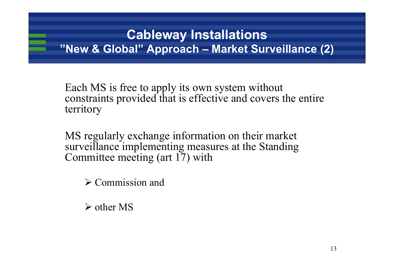## **Cableway Installations "New & Global" Approach – Market Surveillance (2)**

Each MS is free to apply its own system without constraints provided that is effective and covers the entire territory

MS regularly exchange information on their market surveillance implementing measures at the Standing Committee meeting (art 17) with

 $\triangleright$  Commission and

¾ other MS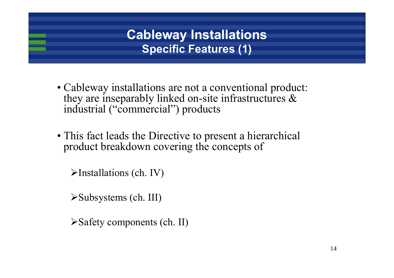# **Cableway Installations Specific Features (1)**

- Cableway installations are not a conventional product: they are inseparably linked on-site infrastructures & industrial ("commercial") products
- This fact leads the Directive to present a hierarchical product breakdown covering the concepts of

 $\blacktriangleright$ Installations (ch. IV)

¾Subsystems (ch. III)

¾Safety components (ch. II)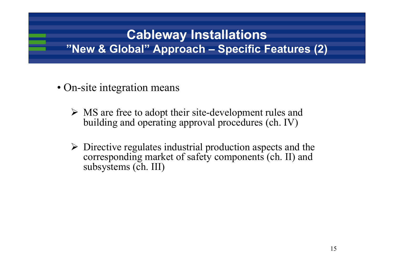### **Cableway Installations "New & Global" Approach – Specific Features (2)**

- On-site integration means
	- ¾ MS are free to adopt their site-development rules and building and operating approval procedures (ch. IV)
	- $\triangleright$  Directive regulates industrial production aspects and the corresponding market of safety components (ch. II) and subsystems (ch. III)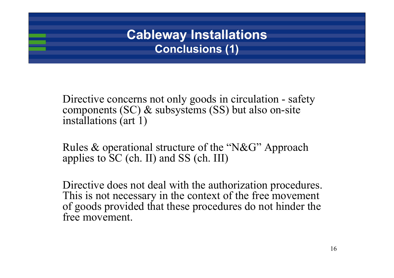## **Cableway Installations Conclusions (1)**

Directive concerns not only goods in circulation - safety components (SC) & subsystems (SS) but also on-site installations (art 1)

Rules & operational structure of the "N&G" Approach applies to SC (ch. II) and SS (ch. III)

Directive does not deal with the authorization procedures. This is not necessary in the context of the free movement of goods provided that these procedures do not hinder the free movement.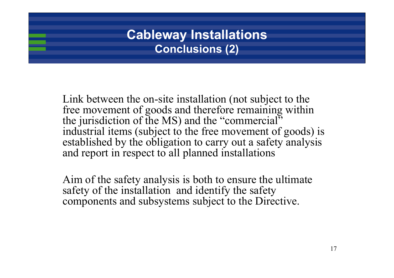#### **Cableway Installations Conclusions (2)**

Link between the on-site installation (not subject to the free movement of goods and therefore remaining within the jurisdiction of the MS) and the "commercial" industrial items (subject to the free movement of goods) is established by the obligation to carry out a safety analysis and report in respect to all planned installations

Aim of the safety analysis is both to ensure the ultimate safety of the installation and identify the safety components and subsystems subject to the Directive.